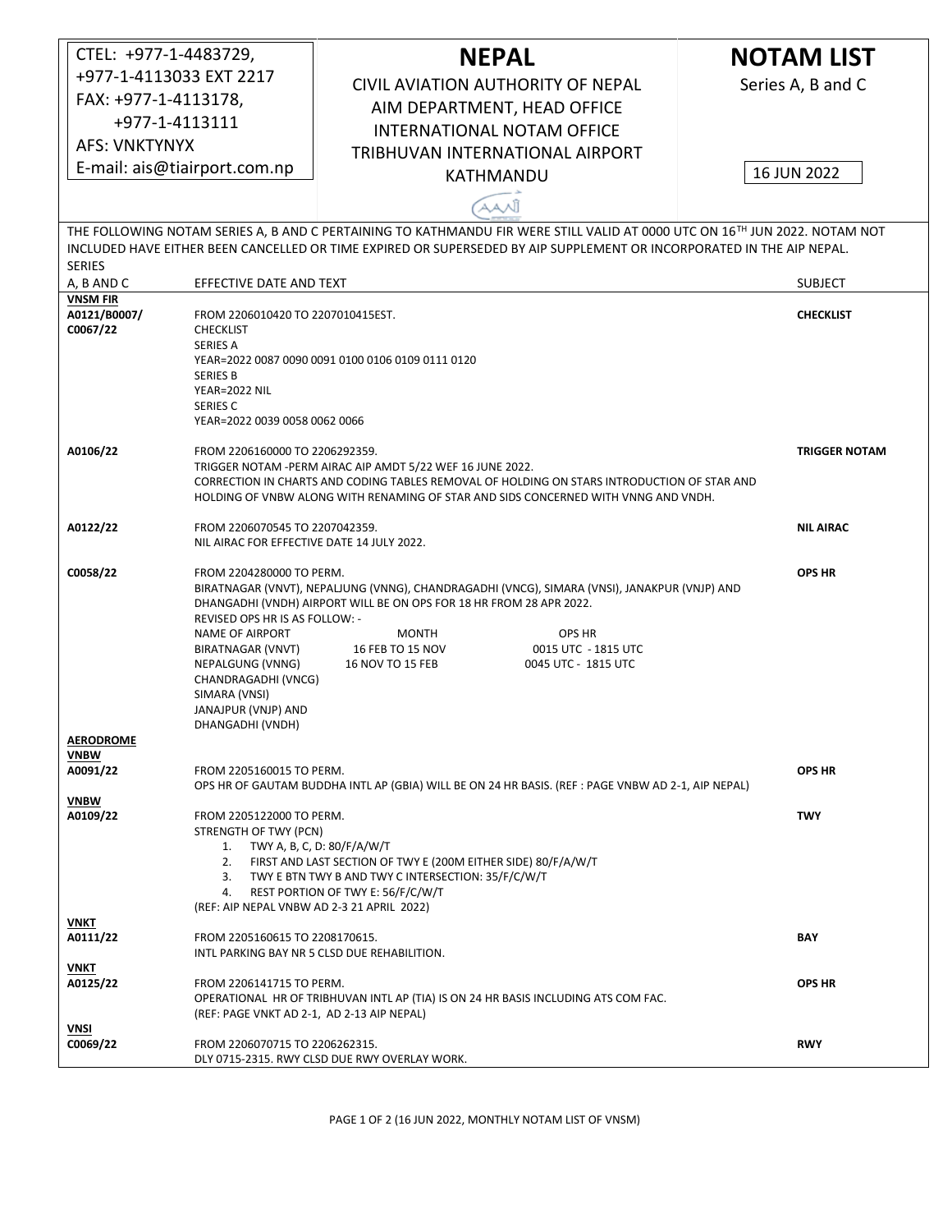| CTEL: +977-1-4483729,                                                                                                                                                                                                                                                |                                                                                                                                                                                                                                                                                                           | <b>NEPAL</b>                                                                                                                                                                                                                                                                        | <b>NOTAM LIST</b> |  |  |  |  |
|----------------------------------------------------------------------------------------------------------------------------------------------------------------------------------------------------------------------------------------------------------------------|-----------------------------------------------------------------------------------------------------------------------------------------------------------------------------------------------------------------------------------------------------------------------------------------------------------|-------------------------------------------------------------------------------------------------------------------------------------------------------------------------------------------------------------------------------------------------------------------------------------|-------------------|--|--|--|--|
| +977-1-4113033 EXT 2217                                                                                                                                                                                                                                              |                                                                                                                                                                                                                                                                                                           | CIVIL AVIATION AUTHORITY OF NEPAL                                                                                                                                                                                                                                                   | Series A, B and C |  |  |  |  |
| FAX: +977-1-4113178,                                                                                                                                                                                                                                                 |                                                                                                                                                                                                                                                                                                           | AIM DEPARTMENT, HEAD OFFICE                                                                                                                                                                                                                                                         |                   |  |  |  |  |
| +977-1-4113111                                                                                                                                                                                                                                                       |                                                                                                                                                                                                                                                                                                           | <b>INTERNATIONAL NOTAM OFFICE</b>                                                                                                                                                                                                                                                   |                   |  |  |  |  |
| <b>AFS: VNKTYNYX</b>                                                                                                                                                                                                                                                 |                                                                                                                                                                                                                                                                                                           | TRIBHUVAN INTERNATIONAL AIRPORT                                                                                                                                                                                                                                                     |                   |  |  |  |  |
| E-mail: ais@tiairport.com.np                                                                                                                                                                                                                                         |                                                                                                                                                                                                                                                                                                           | KATHMANDU                                                                                                                                                                                                                                                                           | 16 JUN 2022       |  |  |  |  |
|                                                                                                                                                                                                                                                                      |                                                                                                                                                                                                                                                                                                           |                                                                                                                                                                                                                                                                                     |                   |  |  |  |  |
| AANĴ                                                                                                                                                                                                                                                                 |                                                                                                                                                                                                                                                                                                           |                                                                                                                                                                                                                                                                                     |                   |  |  |  |  |
| THE FOLLOWING NOTAM SERIES A, B AND C PERTAINING TO KATHMANDU FIR WERE STILL VALID AT 0000 UTC ON 16TH JUN 2022. NOTAM NOT<br>INCLUDED HAVE EITHER BEEN CANCELLED OR TIME EXPIRED OR SUPERSEDED BY AIP SUPPLEMENT OR INCORPORATED IN THE AIP NEPAL.<br><b>SERIES</b> |                                                                                                                                                                                                                                                                                                           |                                                                                                                                                                                                                                                                                     |                   |  |  |  |  |
| A, B AND C                                                                                                                                                                                                                                                           |                                                                                                                                                                                                                                                                                                           | EFFECTIVE DATE AND TEXT                                                                                                                                                                                                                                                             |                   |  |  |  |  |
| <b>VNSM FIR</b><br>A0121/B0007/<br>C0067/22                                                                                                                                                                                                                          | <b>CHECKLIST</b><br>SERIES A                                                                                                                                                                                                                                                                              | FROM 2206010420 TO 2207010415EST.<br>YEAR=2022 0087 0090 0091 0100 0106 0109 0111 0120                                                                                                                                                                                              |                   |  |  |  |  |
|                                                                                                                                                                                                                                                                      | <b>SERIES B</b><br>YEAR=2022 NIL<br>SERIES C<br>YEAR=2022 0039 0058 0062 0066                                                                                                                                                                                                                             |                                                                                                                                                                                                                                                                                     |                   |  |  |  |  |
| A0106/22                                                                                                                                                                                                                                                             | FROM 2206160000 TO 2206292359.<br><b>TRIGGER NOTAM</b><br>TRIGGER NOTAM - PERM AIRAC AIP AMDT 5/22 WEF 16 JUNE 2022.<br>CORRECTION IN CHARTS AND CODING TABLES REMOVAL OF HOLDING ON STARS INTRODUCTION OF STAR AND<br>HOLDING OF VNBW ALONG WITH RENAMING OF STAR AND SIDS CONCERNED WITH VNNG AND VNDH. |                                                                                                                                                                                                                                                                                     |                   |  |  |  |  |
| A0122/22                                                                                                                                                                                                                                                             | FROM 2206070545 TO 2207042359.<br>NIL AIRAC FOR EFFECTIVE DATE 14 JULY 2022.                                                                                                                                                                                                                              |                                                                                                                                                                                                                                                                                     | <b>NIL AIRAC</b>  |  |  |  |  |
| C0058/22                                                                                                                                                                                                                                                             | FROM 2204280000 TO PERM.<br>REVISED OPS HR IS AS FOLLOW: -<br>NAME OF AIRPORT<br>BIRATNAGAR (VNVT)<br>NEPALGUNG (VNNG)<br>CHANDRAGADHI (VNCG)<br>SIMARA (VNSI)<br>JANAJPUR (VNJP) AND<br>DHANGADHI (VNDH)                                                                                                 | BIRATNAGAR (VNVT), NEPALJUNG (VNNG), CHANDRAGADHI (VNCG), SIMARA (VNSI), JANAKPUR (VNJP) AND<br>DHANGADHI (VNDH) AIRPORT WILL BE ON OPS FOR 18 HR FROM 28 APR 2022.<br>OPS HR<br>MONTH<br>16 FEB TO 15 NOV<br>0015 UTC - 1815 UTC<br><b>16 NOV TO 15 FEB</b><br>0045 UTC - 1815 UTC | <b>OPS HR</b>     |  |  |  |  |
| <b>AERODROME</b><br><b>VNBW</b><br>A0091/22                                                                                                                                                                                                                          | FROM 2205160015 TO PERM.                                                                                                                                                                                                                                                                                  | OPS HR OF GAUTAM BUDDHA INTL AP (GBIA) WILL BE ON 24 HR BASIS. (REF : PAGE VNBW AD 2-1, AIP NEPAL)                                                                                                                                                                                  | <b>OPS HR</b>     |  |  |  |  |
| <b>VNBW</b><br>A0109/22                                                                                                                                                                                                                                              | TWY                                                                                                                                                                                                                                                                                                       |                                                                                                                                                                                                                                                                                     |                   |  |  |  |  |
| VNKT<br>A0111/22                                                                                                                                                                                                                                                     | FROM 2205160615 TO 2208170615.                                                                                                                                                                                                                                                                            | INTL PARKING BAY NR 5 CLSD DUE REHABILITION.                                                                                                                                                                                                                                        | BAY               |  |  |  |  |
| VNKT<br>A0125/22                                                                                                                                                                                                                                                     | FROM 2206141715 TO PERM.<br>(REF: PAGE VNKT AD 2-1, AD 2-13 AIP NEPAL)                                                                                                                                                                                                                                    | OPERATIONAL HR OF TRIBHUVAN INTL AP (TIA) IS ON 24 HR BASIS INCLUDING ATS COM FAC.                                                                                                                                                                                                  | <b>OPS HR</b>     |  |  |  |  |
| VNSI<br>C0069/22                                                                                                                                                                                                                                                     | FROM 2206070715 TO 2206262315.                                                                                                                                                                                                                                                                            | DLY 0715-2315. RWY CLSD DUE RWY OVERLAY WORK.                                                                                                                                                                                                                                       | <b>RWY</b>        |  |  |  |  |